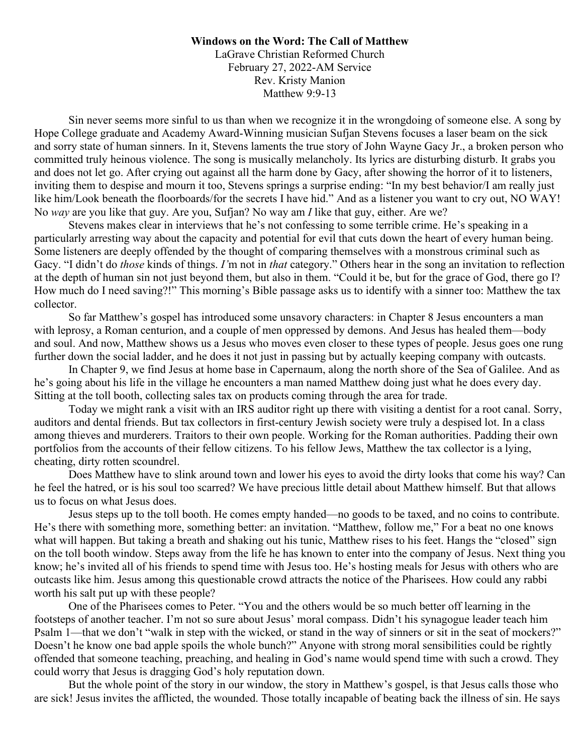**Windows on the Word: The Call of Matthew** LaGrave Christian Reformed Church February 27, 2022-AM Service Rev. Kristy Manion Matthew 9:9-13

Sin never seems more sinful to us than when we recognize it in the wrongdoing of someone else. A song by Hope College graduate and Academy Award-Winning musician Sufjan Stevens focuses a laser beam on the sick and sorry state of human sinners. In it, Stevens laments the true story of John Wayne Gacy Jr., a broken person who committed truly heinous violence. The song is musically melancholy. Its lyrics are disturbing disturb. It grabs you and does not let go. After crying out against all the harm done by Gacy, after showing the horror of it to listeners, inviting them to despise and mourn it too, Stevens springs a surprise ending: "In my best behavior/I am really just like him/Look beneath the floorboards/for the secrets I have hid." And as a listener you want to cry out, NO WAY! No *way* are you like that guy. Are you, Sufjan? No way am *I* like that guy, either. Are we?

Stevens makes clear in interviews that he's not confessing to some terrible crime. He's speaking in a particularly arresting way about the capacity and potential for evil that cuts down the heart of every human being. Some listeners are deeply offended by the thought of comparing themselves with a monstrous criminal such as Gacy. "I didn't do *those* kinds of things. *I'*m not in *that* category." Others hear in the song an invitation to reflection at the depth of human sin not just beyond them, but also in them. "Could it be, but for the grace of God, there go I? How much do I need saving?!" This morning's Bible passage asks us to identify with a sinner too: Matthew the tax collector.

So far Matthew's gospel has introduced some unsavory characters: in Chapter 8 Jesus encounters a man with leprosy, a Roman centurion, and a couple of men oppressed by demons. And Jesus has healed them—body and soul. And now, Matthew shows us a Jesus who moves even closer to these types of people. Jesus goes one rung further down the social ladder, and he does it not just in passing but by actually keeping company with outcasts.

In Chapter 9, we find Jesus at home base in Capernaum, along the north shore of the Sea of Galilee. And as he's going about his life in the village he encounters a man named Matthew doing just what he does every day. Sitting at the toll booth, collecting sales tax on products coming through the area for trade.

Today we might rank a visit with an IRS auditor right up there with visiting a dentist for a root canal. Sorry, auditors and dental friends. But tax collectors in first-century Jewish society were truly a despised lot. In a class among thieves and murderers. Traitors to their own people. Working for the Roman authorities. Padding their own portfolios from the accounts of their fellow citizens. To his fellow Jews, Matthew the tax collector is a lying, cheating, dirty rotten scoundrel.

Does Matthew have to slink around town and lower his eyes to avoid the dirty looks that come his way? Can he feel the hatred, or is his soul too scarred? We have precious little detail about Matthew himself. But that allows us to focus on what Jesus does.

Jesus steps up to the toll booth. He comes empty handed—no goods to be taxed, and no coins to contribute. He's there with something more, something better: an invitation. "Matthew, follow me," For a beat no one knows what will happen. But taking a breath and shaking out his tunic, Matthew rises to his feet. Hangs the "closed" sign on the toll booth window. Steps away from the life he has known to enter into the company of Jesus. Next thing you know; he's invited all of his friends to spend time with Jesus too. He's hosting meals for Jesus with others who are outcasts like him. Jesus among this questionable crowd attracts the notice of the Pharisees. How could any rabbi worth his salt put up with these people?

One of the Pharisees comes to Peter. "You and the others would be so much better off learning in the footsteps of another teacher. I'm not so sure about Jesus' moral compass. Didn't his synagogue leader teach him Psalm 1—that we don't "walk in step with the wicked, or stand in the way of sinners or sit in the seat of mockers?" Doesn't he know one bad apple spoils the whole bunch?" Anyone with strong moral sensibilities could be rightly offended that someone teaching, preaching, and healing in God's name would spend time with such a crowd. They could worry that Jesus is dragging God's holy reputation down.

But the whole point of the story in our window, the story in Matthew's gospel, is that Jesus calls those who are sick! Jesus invites the afflicted, the wounded. Those totally incapable of beating back the illness of sin. He says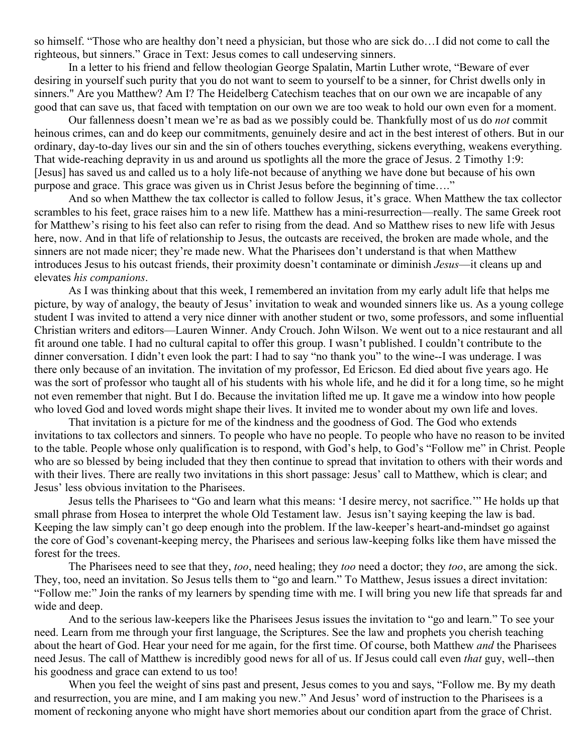so himself. "Those who are healthy don't need a physician, but those who are sick do…I did not come to call the righteous, but sinners." Grace in Text: Jesus comes to call undeserving sinners.

In a letter to his friend and fellow theologian George Spalatin, Martin Luther wrote, "Beware of ever desiring in yourself such purity that you do not want to seem to yourself to be a sinner, for Christ dwells only in sinners." Are you Matthew? Am I? The Heidelberg Catechism teaches that on our own we are incapable of any good that can save us, that faced with temptation on our own we are too weak to hold our own even for a moment.

 Our fallenness doesn't mean we're as bad as we possibly could be. Thankfully most of us do *not* commit heinous crimes, can and do keep our commitments, genuinely desire and act in the best interest of others. But in our ordinary, day-to-day lives our sin and the sin of others touches everything, sickens everything, weakens everything. That wide-reaching depravity in us and around us spotlights all the more the grace of Jesus. 2 Timothy 1:9: [Jesus] has saved us and called us to a holy life-not because of anything we have done but because of his own purpose and grace. This grace was given us in Christ Jesus before the beginning of time…."

 And so when Matthew the tax collector is called to follow Jesus, it's grace. When Matthew the tax collector scrambles to his feet, grace raises him to a new life. Matthew has a mini-resurrection—really. The same Greek root for Matthew's rising to his feet also can refer to rising from the dead. And so Matthew rises to new life with Jesus here, now. And in that life of relationship to Jesus, the outcasts are received, the broken are made whole, and the sinners are not made nicer; they're made new. What the Pharisees don't understand is that when Matthew introduces Jesus to his outcast friends, their proximity doesn't contaminate or diminish *Jesus*—it cleans up and elevates *his companions*.

 As I was thinking about that this week, I remembered an invitation from my early adult life that helps me picture, by way of analogy, the beauty of Jesus' invitation to weak and wounded sinners like us. As a young college student I was invited to attend a very nice dinner with another student or two, some professors, and some influential Christian writers and editors—Lauren Winner. Andy Crouch. John Wilson. We went out to a nice restaurant and all fit around one table. I had no cultural capital to offer this group. I wasn't published. I couldn't contribute to the dinner conversation. I didn't even look the part: I had to say "no thank you" to the wine--I was underage. I was there only because of an invitation. The invitation of my professor, Ed Ericson. Ed died about five years ago. He was the sort of professor who taught all of his students with his whole life, and he did it for a long time, so he might not even remember that night. But I do. Because the invitation lifted me up. It gave me a window into how people who loved God and loved words might shape their lives. It invited me to wonder about my own life and loves.

 That invitation is a picture for me of the kindness and the goodness of God. The God who extends invitations to tax collectors and sinners. To people who have no people. To people who have no reason to be invited to the table. People whose only qualification is to respond, with God's help, to God's "Follow me" in Christ. People who are so blessed by being included that they then continue to spread that invitation to others with their words and with their lives. There are really two invitations in this short passage: Jesus' call to Matthew, which is clear; and Jesus' less obvious invitation to the Pharisees.

Jesus tells the Pharisees to "Go and learn what this means: 'I desire mercy, not sacrifice.'" He holds up that small phrase from Hosea to interpret the whole Old Testament law. Jesus isn't saying keeping the law is bad. Keeping the law simply can't go deep enough into the problem. If the law-keeper's heart-and-mindset go against the core of God's covenant-keeping mercy, the Pharisees and serious law-keeping folks like them have missed the forest for the trees.

The Pharisees need to see that they, *too*, need healing; they *too* need a doctor; they *too*, are among the sick. They, too, need an invitation. So Jesus tells them to "go and learn." To Matthew, Jesus issues a direct invitation: "Follow me:" Join the ranks of my learners by spending time with me. I will bring you new life that spreads far and wide and deep.

 And to the serious law-keepers like the Pharisees Jesus issues the invitation to "go and learn." To see your need. Learn from me through your first language, the Scriptures. See the law and prophets you cherish teaching about the heart of God. Hear your need for me again, for the first time. Of course, both Matthew *and* the Pharisees need Jesus. The call of Matthew is incredibly good news for all of us. If Jesus could call even *that* guy, well--then his goodness and grace can extend to us too!

When you feel the weight of sins past and present, Jesus comes to you and says, "Follow me. By my death and resurrection, you are mine, and I am making you new." And Jesus' word of instruction to the Pharisees is a moment of reckoning anyone who might have short memories about our condition apart from the grace of Christ.